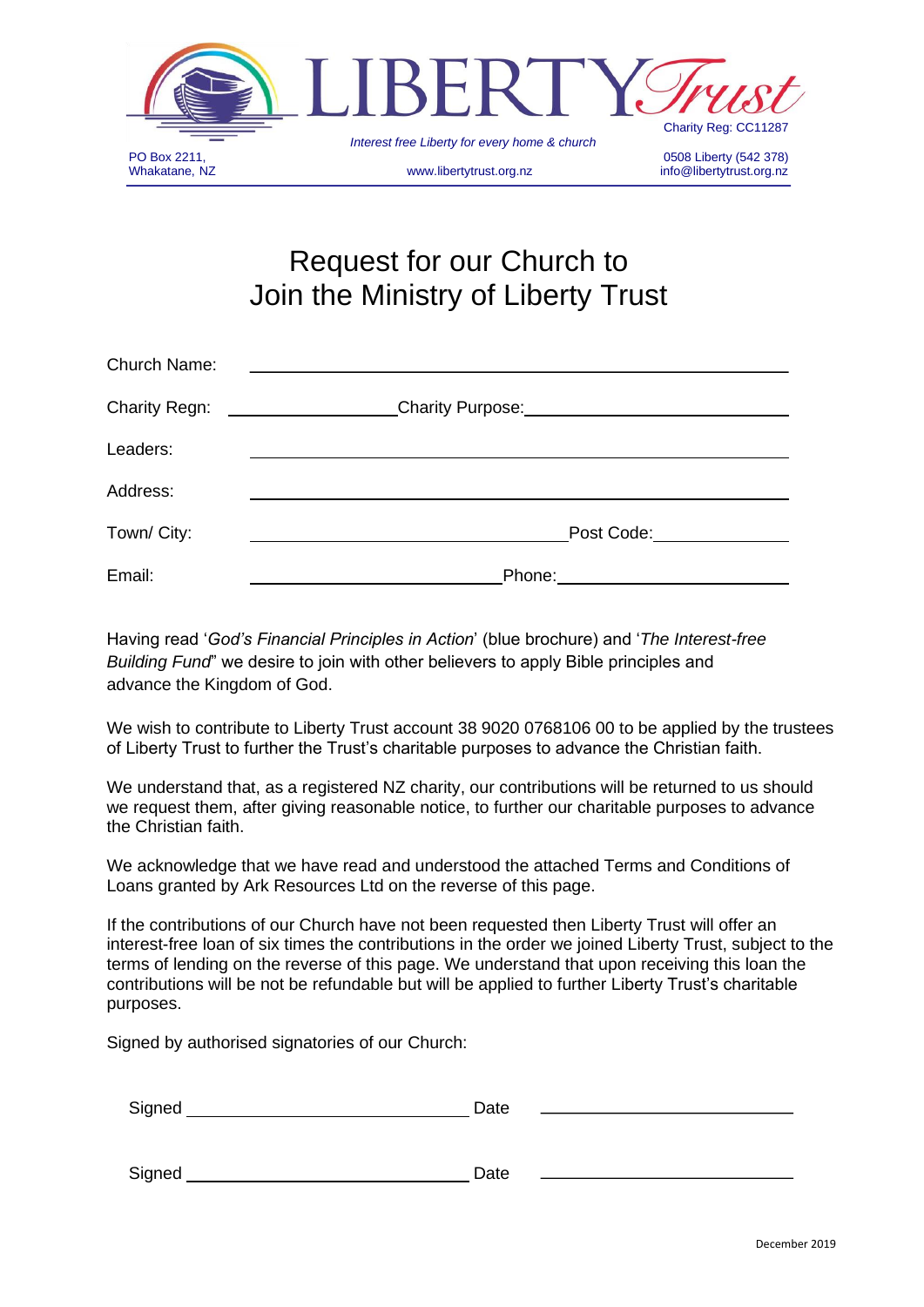

# Request for our Church to Join the Ministry of Liberty Trust

| Church Name:         |                                                                  |
|----------------------|------------------------------------------------------------------|
| <b>Charity Regn:</b> | Charity Purpose: Manual Charity Purpose: Manual Charity Purpose: |
| Leaders:             |                                                                  |
| Address:             |                                                                  |
| Town/ City:          | Post Code:_______________                                        |
| Email:               | Phone:                                                           |

Having read '*God's Financial Principles in Action*' (blue brochure) and '*The Interest-free Building Fund*" we desire to join with other believers to apply Bible principles and advance the Kingdom of God.

We wish to contribute to Liberty Trust account 38 9020 0768106 00 to be applied by the trustees of Liberty Trust to further the Trust's charitable purposes to advance the Christian faith.

We understand that, as a registered NZ charity, our contributions will be returned to us should we request them, after giving reasonable notice, to further our charitable purposes to advance the Christian faith.

We acknowledge that we have read and understood the attached Terms and Conditions of Loans granted by Ark Resources Ltd on the reverse of this page.

If the contributions of our Church have not been requested then Liberty Trust will offer an interest-free loan of six times the contributions in the order we joined Liberty Trust, subject to the terms of lending on the reverse of this page. We understand that upon receiving this loan the contributions will be not be refundable but will be applied to further Liberty Trust's charitable purposes.

Signed by authorised signatories of our Church:

| Signed | Date |
|--------|------|
|        |      |

Signed Date